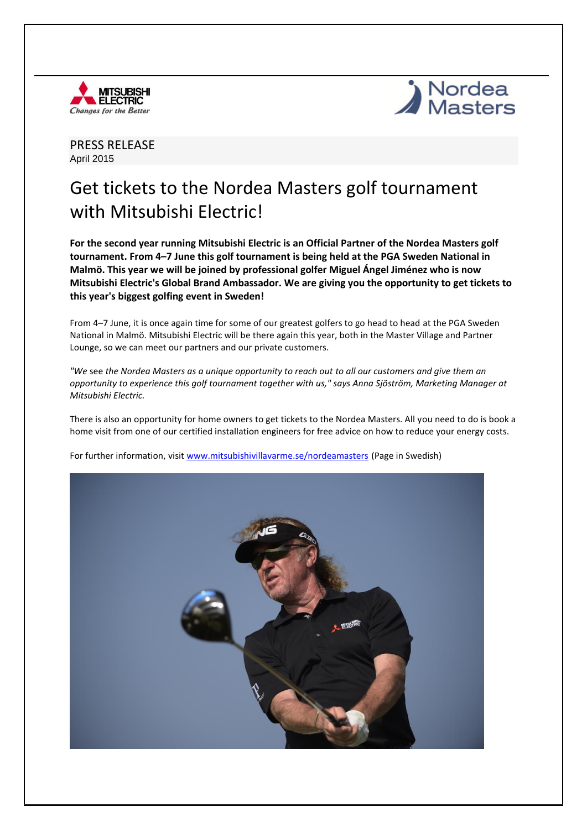



PRESS RELEASE April 2015

## Get tickets to the Nordea Masters golf tournament with Mitsubishi Electric!

**For the second year running Mitsubishi Electric is an Official Partner of the Nordea Masters golf tournament. From 4–7 June this golf tournament is being held at the PGA Sweden National in Malmö. This year we will be joined by professional golfer Miguel Ángel Jiménez who is now Mitsubishi Electric's Global Brand Ambassador. We are giving you the opportunity to get tickets to this year's biggest golfing event in Sweden!**

From 4–7 June, it is once again time for some of our greatest golfers to go head to head at the PGA Sweden National in Malmö. Mitsubishi Electric will be there again this year, both in the Master Village and Partner Lounge, so we can meet our partners and our private customers.

*"We* see *the Nordea Masters as a unique opportunity to reach out to all our customers and give them an opportunity to experience this golf tournament together with us," says Anna Sjöström, Marketing Manager at Mitsubishi Electric.*

There is also an opportunity for home owners to get tickets to the Nordea Masters. All you need to do is book a home visit from one of our certified installation engineers for free advice on how to reduce your energy costs.

For further information, visit [www.mitsubishivillavarme.se/nordeamasters](http://www.mitsubishivillavarme.se/nordeamasters) (Page in Swedish)